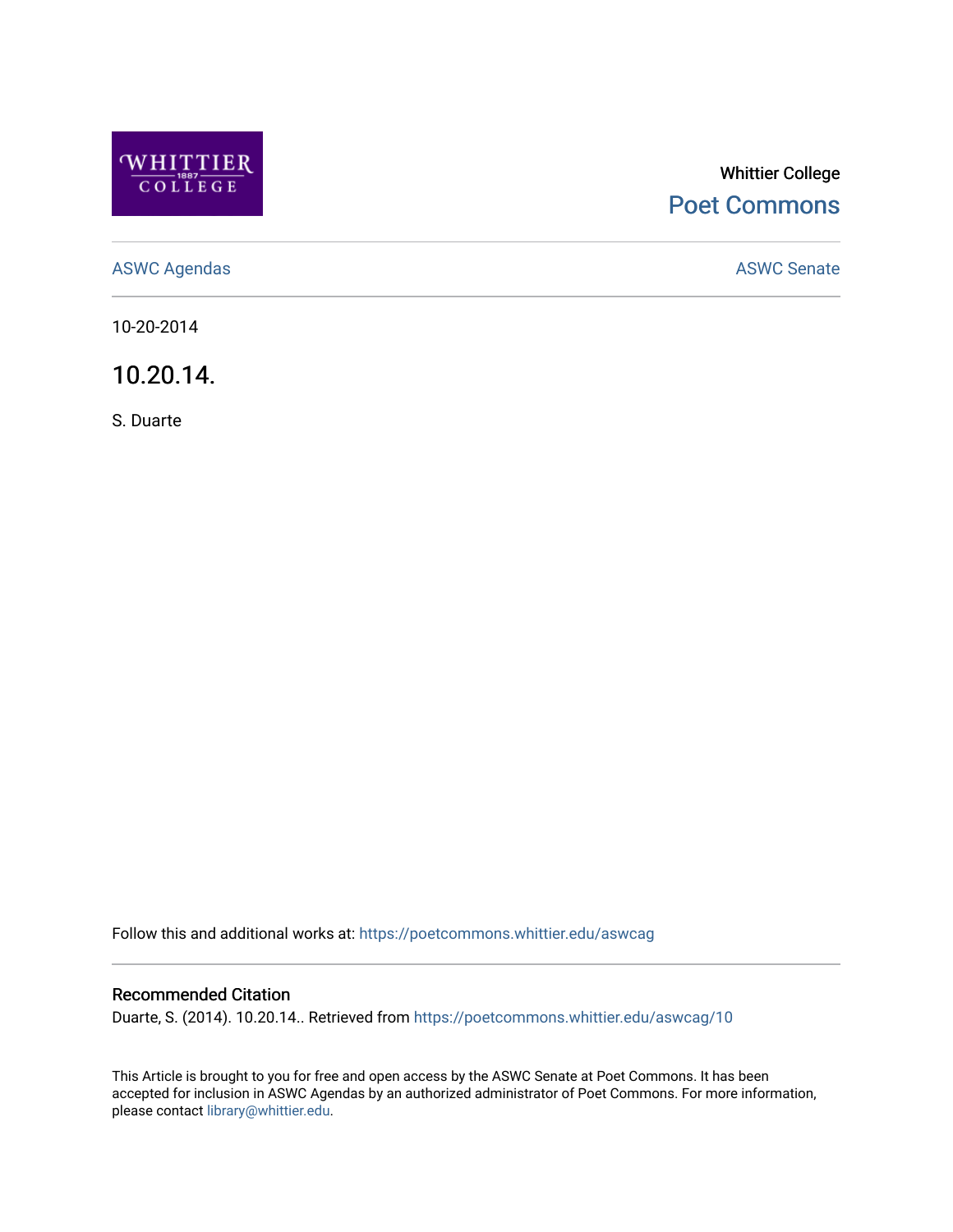

## Whittier College [Poet Commons](https://poetcommons.whittier.edu/)

[ASWC Agendas](https://poetcommons.whittier.edu/aswcag) **ASWC Senate** 

10-20-2014

10.20.14.

S. Duarte

Follow this and additional works at: [https://poetcommons.whittier.edu/aswcag](https://poetcommons.whittier.edu/aswcag?utm_source=poetcommons.whittier.edu%2Faswcag%2F10&utm_medium=PDF&utm_campaign=PDFCoverPages) 

## Recommended Citation

Duarte, S. (2014). 10.20.14.. Retrieved from [https://poetcommons.whittier.edu/aswcag/10](https://poetcommons.whittier.edu/aswcag/10?utm_source=poetcommons.whittier.edu%2Faswcag%2F10&utm_medium=PDF&utm_campaign=PDFCoverPages)

This Article is brought to you for free and open access by the ASWC Senate at Poet Commons. It has been accepted for inclusion in ASWC Agendas by an authorized administrator of Poet Commons. For more information, please contact [library@whittier.edu](mailto:library@whittier.edu).